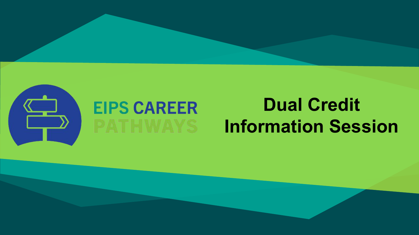

# **EIPS CAREER**

## **Dual Credit Information Session**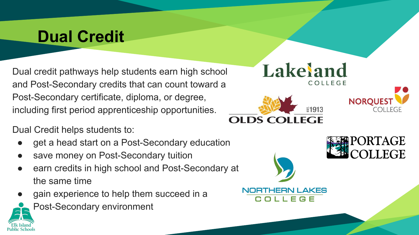Dual credit pathways help students earn high school and Post-Secondary credits that can count toward a Post-Secondary certificate, diploma, or degree, including first period apprenticeship opportunities.

Dual Credit helps students to:

- get a head start on a Post-Secondary education
- save money on Post-Secondary tuition
- earn credits in high school and Post-Secondary at the same time
- gain experience to help them succeed in a
	- Post-Secondary environment



'HERN LAKES

COLLEGE

ORTAGE

EGE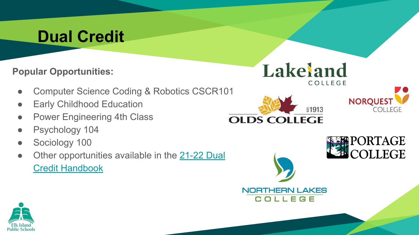**Popular Opportunities:**

- Computer Science Coding & Robotics CSCR101
- **•** Early Childhood Education
- Power Engineering 4th Class
- Psychology 104
- Sociology 100
- Other opportunities available in the [21-22 Dual](https://www.eips.ca/download/376064) [Credit Handbook](https://www.eips.ca/download/376064)



**NORTHERN LAKES** COLLEGE





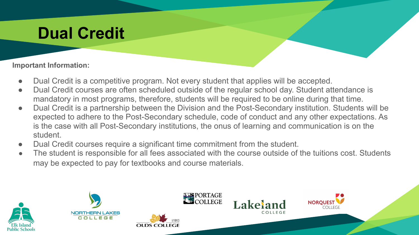#### **Important Information:**

- Dual Credit is a competitive program. Not every student that applies will be accepted.
- Dual Credit courses are often scheduled outside of the regular school day. Student attendance is mandatory in most programs, therefore, students will be required to be online during that time.
- Dual Credit is a partnership between the Division and the Post-Secondary institution. Students will be expected to adhere to the Post-Secondary schedule, code of conduct and any other expectations. As is the case with all Post-Secondary institutions, the onus of learning and communication is on the student.
- Dual Credit courses require a significant time commitment from the student.
- The student is responsible for all fees associated with the course outside of the tuitions cost. Students may be expected to pay for textbooks and course materials.



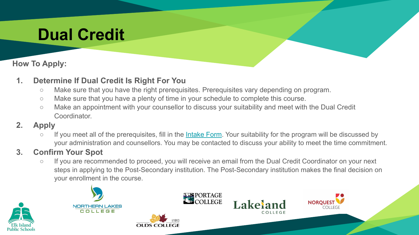#### **How To Apply:**

#### **1. Determine If Dual Credit Is Right For You**

- Make sure that you have the right prerequisites. Prerequisites vary depending on program.
- Make sure that you have a plenty of time in your schedule to complete this course.
- Make an appointment with your counsellor to discuss your suitability and meet with the Dual Credit Coordinator.

#### **2. Apply**

○ If you meet all of the prerequisites, fill in the [Intake Form](https://docs.google.com/forms/d/e/1FAIpQLSeHMd-0KykYnXVI7oJaZfoTOlxb7fFIQtot8NydRjjW28c9tg/viewform?usp=sf_link). Your suitability for the program will be discussed by your administration and counsellors. You may be contacted to discuss your ability to meet the time commitment.

#### **3. Confirm Your Spot**

○ If you are recommended to proceed, you will receive an email from the Dual Credit Coordinator on your next steps in applying to the Post-Secondary institution. The Post-Secondary institution makes the final decision on your enrollment in the course.